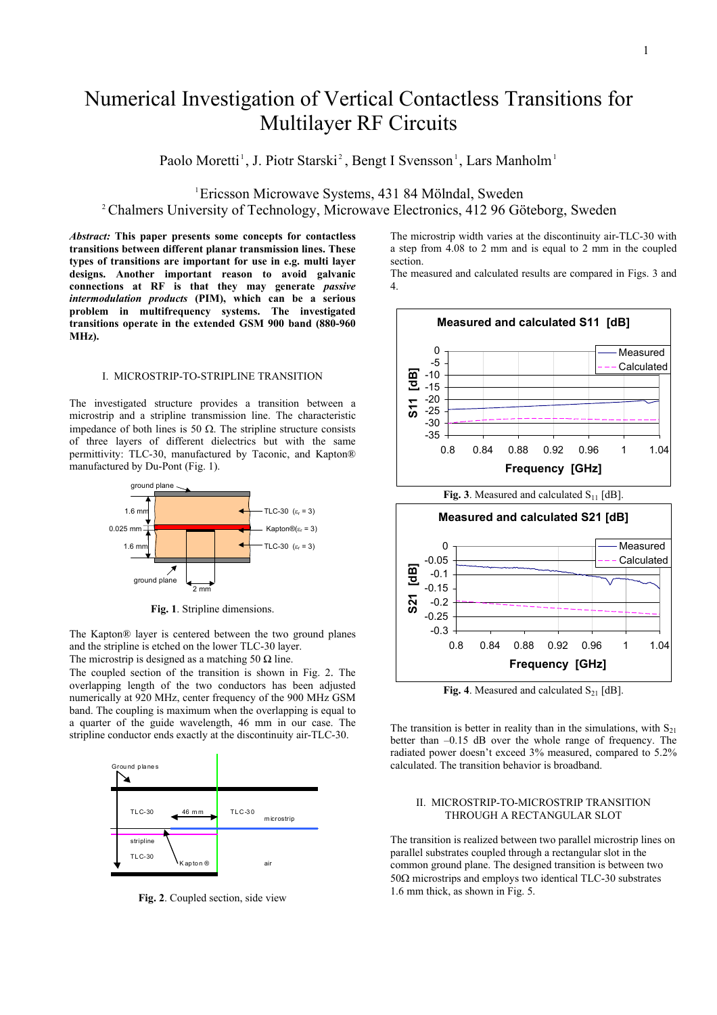# Numerical Investigation of Vertical Contactless Transitions for Multilayer RF Circuits

Paolo Moretti<sup>1</sup>, J. Piotr Starski<sup>2</sup>, Bengt I Svensson<sup>1</sup>, Lars Manholm<sup>1</sup>

<sup>1</sup>Ericsson Microwave Systems, 431 84 Mölndal, Sweden<br><sup>2</sup>Chalmers University of Teahnology, Microwave Electronics, 412.06 Gö <sup>2</sup> Chalmers University of Technology, Microwave Electronics, 412 96 Göteborg, Sweden

*Abstract:* **This paper presents some concepts for contactless transitions between different planar transmission lines. These types of transitions are important for use in e.g. multi layer designs. Another important reason to avoid galvanic connections at RF is that they may generate** *passive intermodulation products* **(PIM), which can be a serious problem in multifrequency systems. The investigated transitions operate in the extended GSM 900 band (880-960 MHz).** 

#### I. MICROSTRIP-TO-STRIPLINE TRANSITION

The investigated structure provides a transition between a microstrip and a stripline transmission line. The characteristic impedance of both lines is 50 Ω. The stripline structure consists of three layers of different dielectrics but with the same permittivity: TLC-30, manufactured by Taconic, and Kapton® manufactured by Du-Pont (Fig. 1).



**Fig. 1**. Stripline dimensions.

The Kapton® layer is centered between the two ground planes and the stripline is etched on the lower TLC-30 layer. The microstrip is designed as a matching 50  $\Omega$  line.

The coupled section of the transition is shown in Fig. 2. The overlapping length of the two conductors has been adjusted numerically at 920 MHz, center frequency of the 900 MHz GSM band. The coupling is maximum when the overlapping is equal to a quarter of the guide wavelength, 46 mm in our case. The stripline conductor ends exactly at the discontinuity air-TLC-30.



**Fig. 2**. Coupled section, side view

The microstrip width varies at the discontinuity air-TLC-30 with a step from 4.08 to 2 mm and is equal to 2 mm in the coupled section.

The measured and calculated results are compared in Figs. 3 and 4.



**Fig. 4**. Measured and calculated  $S_{21}$  [dB].

The transition is better in reality than in the simulations, with  $S_{21}$ better than –0.15 dB over the whole range of frequency. The radiated power doesn't exceed 3% measured, compared to 5.2% calculated. The transition behavior is broadband.

### II. MICROSTRIP-TO-MICROSTRIP TRANSITION THROUGH A RECTANGULAR SLOT

The transition is realized between two parallel microstrip lines on parallel substrates coupled through a rectangular slot in the common ground plane. The designed transition is between two 50Ω microstrips and employs two identical TLC-30 substrates 1.6 mm thick, as shown in Fig. 5.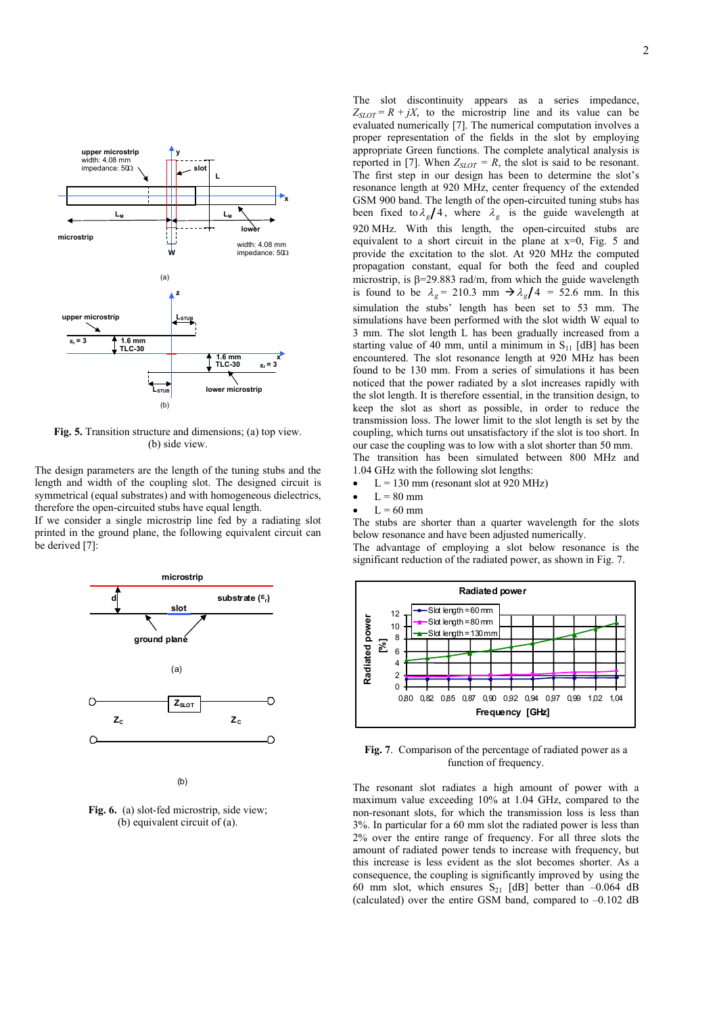

**Fig. 5.** Transition structure and dimensions; (a) top view. (b) side view.

The design parameters are the length of the tuning stubs and the length and width of the coupling slot. The designed circuit is symmetrical (equal substrates) and with homogeneous dielectrics, therefore the open-circuited stubs have equal length.

If we consider a single microstrip line fed by a radiating slot printed in the ground plane, the following equivalent circuit can be derived [7]:



(b)

**Fig. 6.** (a) slot-fed microstrip, side view; (b) equivalent circuit of (a).

The slot discontinuity appears as a series impedance,  $Z_{SLOT} = R + jX$ , to the microstrip line and its value can be evaluated numerically [7]. The numerical computation involves a proper representation of the fields in the slot by employing appropriate Green functions. The complete analytical analysis is reported in [7]. When  $Z_{SLOT} = R$ , the slot is said to be resonant. The first step in our design has been to determine the slot's resonance length at 920 MHz, center frequency of the extended GSM 900 band. The length of the open-circuited tuning stubs has been fixed to  $\lambda_g/4$ , where  $\lambda_g$  is the guide wavelength at 920 MHz. With this length, the open-circuited stubs are equivalent to a short circuit in the plane at  $x=0$ , Fig. 5 and provide the excitation to the slot. At 920 MHz the computed propagation constant, equal for both the feed and coupled microstrip, is  $\beta = 29.883$  rad/m, from which the guide wavelength is found to be  $\lambda_g = 210.3$  mm  $\rightarrow \lambda_g/4 = 52.6$  mm. In this simulation the stubs' length has been set to 53 mm. The simulations have been performed with the slot width W equal to 3 mm. The slot length L has been gradually increased from a starting value of 40 mm, until a minimum in  $S_{11}$  [dB] has been encountered. The slot resonance length at 920 MHz has been found to be 130 mm. From a series of simulations it has been noticed that the power radiated by a slot increases rapidly with the slot length. It is therefore essential, in the transition design, to keep the slot as short as possible, in order to reduce the transmission loss. The lower limit to the slot length is set by the coupling, which turns out unsatisfactory if the slot is too short. In our case the coupling was to low with a slot shorter than 50 mm. The transition has been simulated between 800 MHz and 1.04 GHz with the following slot lengths:

- $L = 130$  mm (resonant slot at 920 MHz)
- $L = 80$  mm
- $\bullet$  L = 60 mm

The stubs are shorter than a quarter wavelength for the slots below resonance and have been adjusted numerically.

The advantage of employing a slot below resonance is the significant reduction of the radiated power, as shown in Fig. 7.



**Fig. 7**. Comparison of the percentage of radiated power as a function of frequency.

The resonant slot radiates a high amount of power with a maximum value exceeding 10% at 1.04 GHz, compared to the non-resonant slots, for which the transmission loss is less than 3%. In particular for a 60 mm slot the radiated power is less than 2% over the entire range of frequency. For all three slots the amount of radiated power tends to increase with frequency, but this increase is less evident as the slot becomes shorter. As a consequence, the coupling is significantly improved by using the 60 mm slot, which ensures  $S_{21}$  [dB] better than -0.064 dB (calculated) over the entire GSM band, compared to  $-0.102$  dB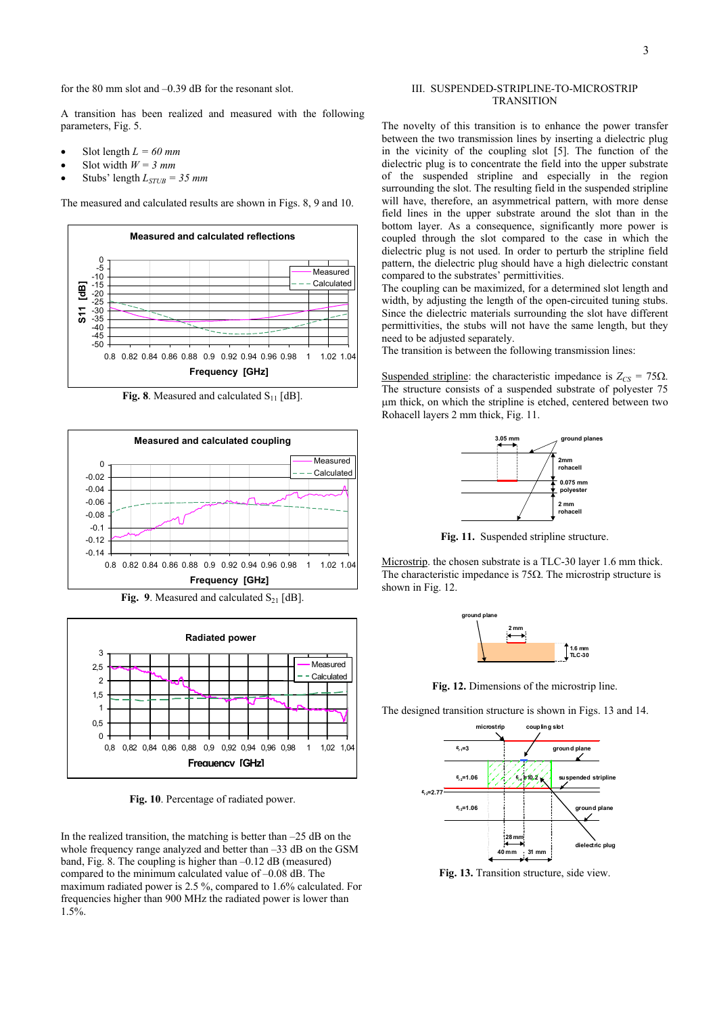for the 80 mm slot and –0.39 dB for the resonant slot.

A transition has been realized and measured with the following parameters, Fig. 5.

- Slot length  $L = 60$  mm
- Slot width  $W = 3$  mm
- Stubs' length  $L_{STUB} = 35$  mm

The measured and calculated results are shown in Figs. 8, 9 and 10.



**Fig. 8**. Measured and calculated  $S_{11}$  [dB].



**Fig. 9**. Measured and calculated  $S_{21}$  [dB].



**Fig. 10**. Percentage of radiated power.

In the realized transition, the matching is better than  $-25$  dB on the whole frequency range analyzed and better than  $-33$  dB on the GSM band, Fig. 8. The coupling is higher than  $-0.12$  dB (measured) compared to the minimum calculated value of –0.08 dB. The maximum radiated power is 2.5 %, compared to 1.6% calculated. For frequencies higher than 900 MHz the radiated power is lower than 1.5%.

## III. SUSPENDED-STRIPLINE-TO-MICROSTRIP **TRANSITION**

The novelty of this transition is to enhance the power transfer between the two transmission lines by inserting a dielectric plug in the vicinity of the coupling slot [5]. The function of the dielectric plug is to concentrate the field into the upper substrate of the suspended stripline and especially in the region surrounding the slot. The resulting field in the suspended stripline will have, therefore, an asymmetrical pattern, with more dense field lines in the upper substrate around the slot than in the bottom layer. As a consequence, significantly more power is coupled through the slot compared to the case in which the dielectric plug is not used. In order to perturb the stripline field pattern, the dielectric plug should have a high dielectric constant compared to the substrates' permittivities.

The coupling can be maximized, for a determined slot length and width, by adjusting the length of the open-circuited tuning stubs. Since the dielectric materials surrounding the slot have different permittivities, the stubs will not have the same length, but they need to be adjusted separately.

The transition is between the following transmission lines:

Suspended stripline: the characteristic impedance is  $Z_{CS} = 75\Omega$ . The structure consists of a suspended substrate of polyester 75 µm thick, on which the stripline is etched, centered between two Rohacell layers 2 mm thick, Fig. 11.



**Fig. 11.** Suspended stripline structure.

Microstrip. the chosen substrate is a TLC-30 layer 1.6 mm thick. The characteristic impedance is  $75\Omega$ . The microstrip structure is shown in Fig. 12.



**Fig. 12.** Dimensions of the microstrip line.

The designed transition structure is shown in Figs. 13 and 14.



**Fig. 13.** Transition structure, side view.